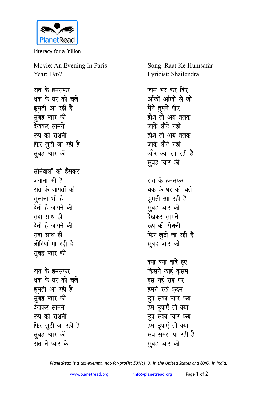

Literacy for a Billion

Movie: An Evening In Paris Year: 1967

रात के हमसफर थक के घर को चले झूमती आ रही है सुबह प्यार की देखकर सामने रूप की रोशनी फिर लूटी जा रही है सुबह प्यार की सोनेवालों को हँसकर जगाना भी है रात के जागतों को सुलाना भी है टेती है जागने की सदा साथ ही देती है जागने की सदा साथ ही लोरियाँ गा रही है सुबह प्यार की रात के हमसफर थक के घर को चले झुमती आ रही है सुबह प्यार की देखकर सामने रूप की रोशनी फिर ल़ूटी जा रही है सुबह प्यार की रात ने प्यार के

Song: Raat Ke Humsafar Lyricist: Shailendra

जाम भर कर दिए आँखों आँखों से जो मैंने तुमने पीए होश तो अब तलक जाके लौटे नहीं होश तो अब तलक जाके लौटे नहीं और क्या ला रही है सुबह प्यार की रात के हमसफर थक के घर को चले झूमती आ रही है सूबह प्यार की देखकर सामने रूप की रोशनी फिर लुटी जा रही है सुबह प्यार की क्या क्या वादे हुए

किसने खाई कसम इस नई राह पर हमने रखे कृदम छूप सका प्यार कब हम छुपाएँ तो क्या छुप सका प्यार कब हम छुपाएँ तो क्या सब समझ पा रही है सूबह प्यार की

PlanetRead is a tax-exempt, not-for-profit: 501(c) (3) in the United States and 80(G) in India.